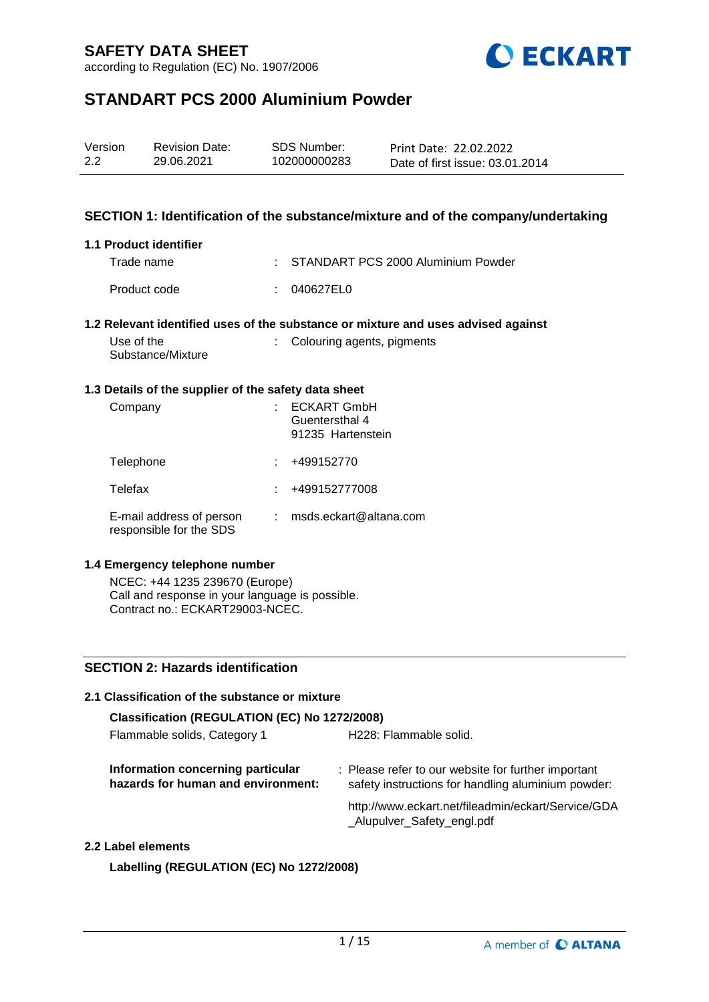



## **STANDART PCS 2000 Aluminium Powder**

| Version | <b>Revision Date:</b> | SDS Number:  | Print Date: 22.02.2022          |
|---------|-----------------------|--------------|---------------------------------|
| 2.2     | 29.06.2021            | 102000000283 | Date of first issue: 03.01.2014 |

### **SECTION 1: Identification of the substance/mixture and of the company/undertaking**

#### **1.1 Product identifier**

| Trade name   | : STANDART PCS 2000 Aluminium Powder |
|--------------|--------------------------------------|
| Product code | : 040627EL0                          |

#### **1.2 Relevant identified uses of the substance or mixture and uses advised against**

| Use of the        | : Colouring agents, pigments |
|-------------------|------------------------------|
| Substance/Mixture |                              |

#### **1.3 Details of the supplier of the safety data sheet**

| Company                                             | <b>ECKART GmbH</b><br>Guentersthal 4<br>91235 Hartenstein |
|-----------------------------------------------------|-----------------------------------------------------------|
| Telephone                                           | +499152770                                                |
| Telefax                                             | +499152777008                                             |
| E-mail address of person<br>responsible for the SDS | msds.eckart@altana.com                                    |

### **1.4 Emergency telephone number**

NCEC: +44 1235 239670 (Europe) Call and response in your language is possible. Contract no.: ECKART29003-NCEC.

### **SECTION 2: Hazards identification**

## **2.1 Classification of the substance or mixture Classification (REGULATION (EC) No 1272/2008)** Flammable solids, Category 1 H228: Flammable solid. **Information concerning particular hazards for human and environment:** : Please refer to our website for further important safety instructions for handling aluminium powder: http://www.eckart.net/fileadmin/eckart/Service/GDA \_Alupulver\_Safety\_engl.pdf **2.2 Label elements**

**Labelling (REGULATION (EC) No 1272/2008)**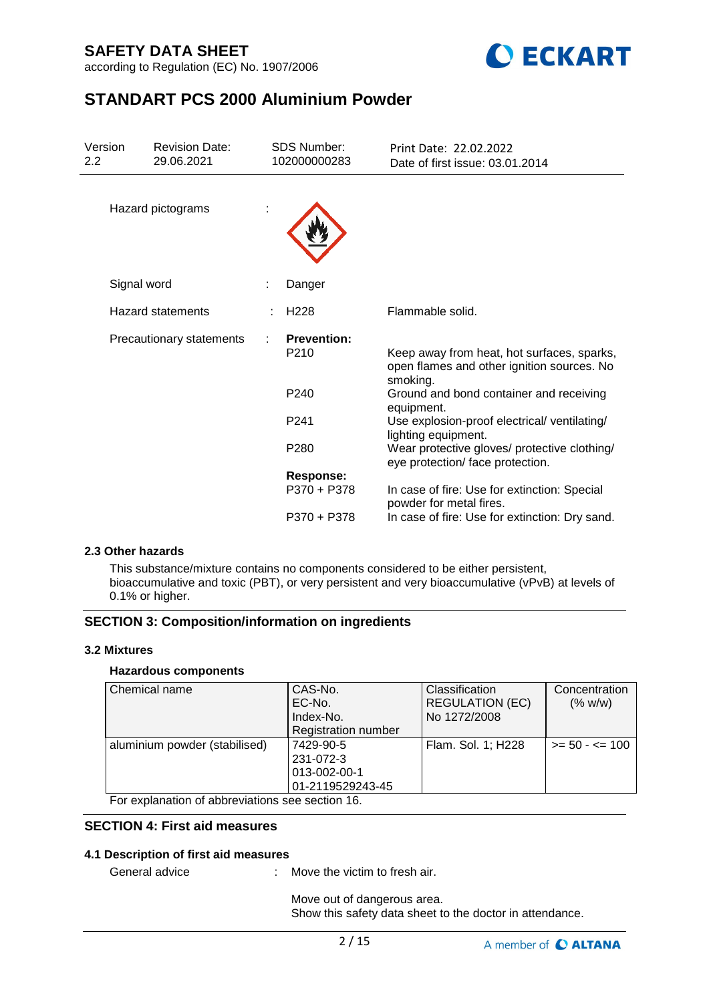according to Regulation (EC) No. 1907/2006



## **STANDART PCS 2000 Aluminium Powder**

| Version<br><b>Revision Date:</b><br>29.06.2021<br>$2.2\phantom{0}$ |                          | <b>SDS Number:</b><br>102000000283     | Print Date: 22.02.2022<br>Date of first issue: 03.01.2014                                            |  |  |
|--------------------------------------------------------------------|--------------------------|----------------------------------------|------------------------------------------------------------------------------------------------------|--|--|
|                                                                    | Hazard pictograms        |                                        |                                                                                                      |  |  |
|                                                                    | Signal word              | Danger                                 |                                                                                                      |  |  |
|                                                                    | <b>Hazard statements</b> | H <sub>228</sub>                       | Flammable solid.                                                                                     |  |  |
|                                                                    | Precautionary statements | <b>Prevention:</b><br>P <sub>210</sub> | Keep away from heat, hot surfaces, sparks,<br>open flames and other ignition sources. No<br>smoking. |  |  |
|                                                                    |                          | P <sub>240</sub>                       | Ground and bond container and receiving<br>equipment.                                                |  |  |
|                                                                    |                          | P <sub>241</sub>                       | Use explosion-proof electrical/ventilating/<br>lighting equipment.                                   |  |  |
|                                                                    |                          | P280                                   | Wear protective gloves/ protective clothing/<br>eye protection/face protection.                      |  |  |
|                                                                    |                          | <b>Response:</b>                       |                                                                                                      |  |  |
|                                                                    |                          | P370 + P378                            | In case of fire: Use for extinction: Special<br>powder for metal fires.                              |  |  |
|                                                                    |                          | P370 + P378                            | In case of fire: Use for extinction: Dry sand.                                                       |  |  |

### **2.3 Other hazards**

This substance/mixture contains no components considered to be either persistent, bioaccumulative and toxic (PBT), or very persistent and very bioaccumulative (vPvB) at levels of 0.1% or higher.

### **SECTION 3: Composition/information on ingredients**

### **3.2 Mixtures**

### **Hazardous components**

| Chemical name                                                                                                   | CAS-No.<br>EC-No.<br>Index-No.<br>Registration number      | <b>Classification</b><br><b>REGULATION (EC)</b><br>No 1272/2008 | Concentration<br>(% w/w) |
|-----------------------------------------------------------------------------------------------------------------|------------------------------------------------------------|-----------------------------------------------------------------|--------------------------|
| aluminium powder (stabilised)<br>$\Gamma$ and according the set of all large distinguished and set of $\Lambda$ | 7429-90-5<br>231-072-3<br>013-002-00-1<br>01-2119529243-45 | Flam. Sol. 1; H228                                              | $>= 50 - 5 = 100$        |

For explanation of abbreviations see section 16.

## **SECTION 4: First aid measures**

### **4.1 Description of first aid measures**

General advice : Move the victim to fresh air.

Move out of dangerous area. Show this safety data sheet to the doctor in attendance.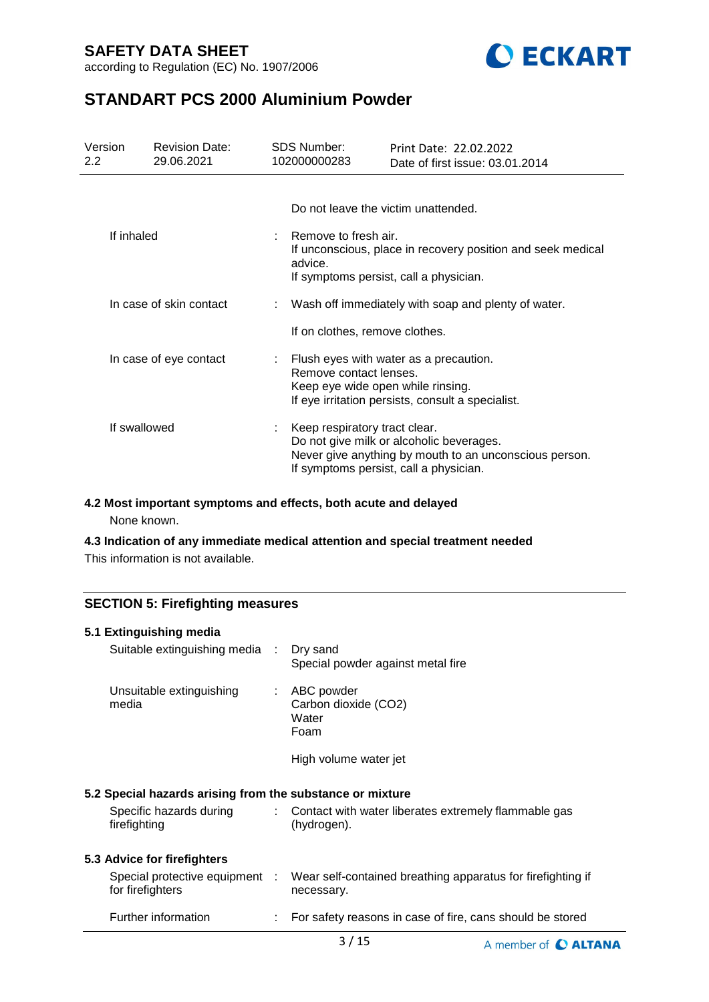according to Regulation (EC) No. 1907/2006



## **STANDART PCS 2000 Aluminium Powder**

| Version<br>$2.2\phantom{0}$ | <b>Revision Date:</b><br>29.06.2021 | <b>SDS Number:</b><br>102000000283                                                                                                       | Print Date: 22.02.2022<br>Date of first issue: 03.01.2014                                                                                    |  |  |  |
|-----------------------------|-------------------------------------|------------------------------------------------------------------------------------------------------------------------------------------|----------------------------------------------------------------------------------------------------------------------------------------------|--|--|--|
|                             |                                     | Do not leave the victim unattended.                                                                                                      |                                                                                                                                              |  |  |  |
| If inhaled                  |                                     | Remove to fresh air.<br>If unconscious, place in recovery position and seek medical<br>advice.<br>If symptoms persist, call a physician. |                                                                                                                                              |  |  |  |
|                             | In case of skin contact             |                                                                                                                                          | Wash off immediately with soap and plenty of water.                                                                                          |  |  |  |
|                             |                                     | If on clothes, remove clothes.                                                                                                           |                                                                                                                                              |  |  |  |
| In case of eye contact      |                                     | Remove contact lenses.<br>Keep eye wide open while rinsing.                                                                              | Flush eyes with water as a precaution.<br>If eye irritation persists, consult a specialist.                                                  |  |  |  |
|                             | If swallowed                        | Keep respiratory tract clear.                                                                                                            | Do not give milk or alcoholic beverages.<br>Never give anything by mouth to an unconscious person.<br>If symptoms persist, call a physician. |  |  |  |

### **4.2 Most important symptoms and effects, both acute and delayed**

None known.

## **4.3 Indication of any immediate medical attention and special treatment needed**

This information is not available.

## **SECTION 5: Firefighting measures**

| 5.1 Extinguishing media                                   |                             |                                                                           |
|-----------------------------------------------------------|-----------------------------|---------------------------------------------------------------------------|
| Suitable extinguishing media : Dry sand                   |                             | Special powder against metal fire                                         |
| Unsuitable extinguishing<br>media                         |                             | $:$ ABC powder<br>Carbon dioxide (CO2)<br>Water<br>Foam                   |
|                                                           |                             | High volume water jet                                                     |
| 5.2 Special hazards arising from the substance or mixture |                             |                                                                           |
| Specific hazards during<br>firefighting                   | $\mathcal{L}^{\mathcal{L}}$ | Contact with water liberates extremely flammable gas<br>(hydrogen).       |
| 5.3 Advice for firefighters                               |                             |                                                                           |
| Special protective equipment :<br>for firefighters        |                             | Wear self-contained breathing apparatus for firefighting if<br>necessary. |
| Further information                                       |                             | For safety reasons in case of fire, cans should be stored                 |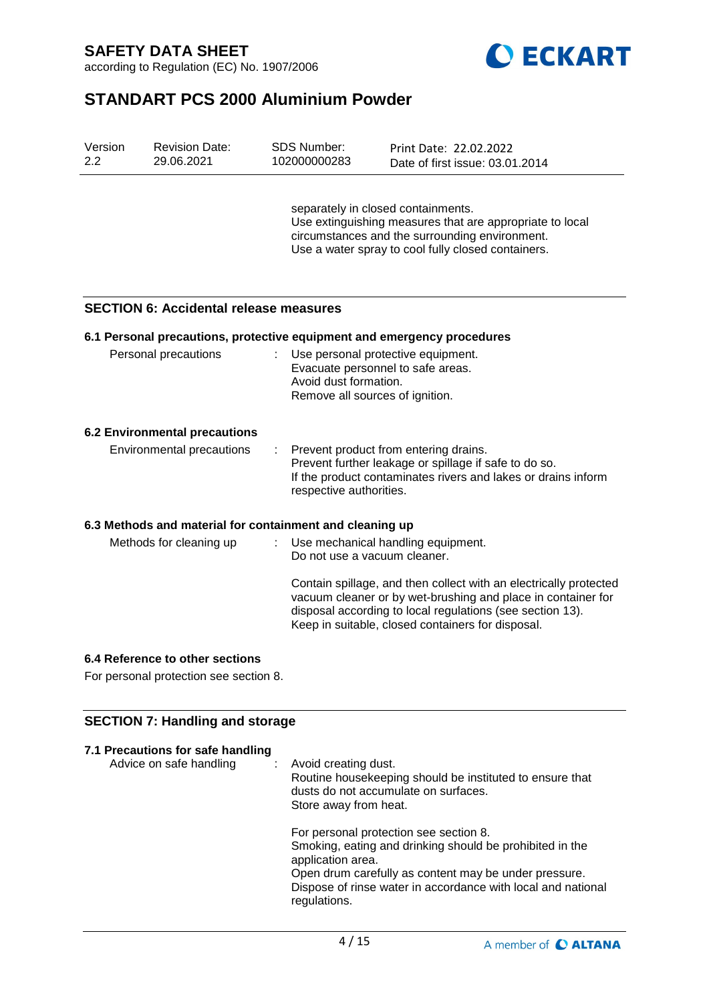



# **STANDART PCS 2000 Aluminium Powder**

| Version<br>2.2 | <b>Revision Date:</b><br>29.06.2021                      | <b>SDS Number:</b><br>102000000283                       | Print Date: 22.02.2022<br>Date of first issue: 03.01.2014                                                                                                                                              |
|----------------|----------------------------------------------------------|----------------------------------------------------------|--------------------------------------------------------------------------------------------------------------------------------------------------------------------------------------------------------|
|                |                                                          |                                                          | separately in closed containments.<br>Use extinguishing measures that are appropriate to local<br>circumstances and the surrounding environment.<br>Use a water spray to cool fully closed containers. |
|                | <b>SECTION 6: Accidental release measures</b>            |                                                          |                                                                                                                                                                                                        |
|                |                                                          |                                                          | 6.1 Personal precautions, protective equipment and emergency procedures                                                                                                                                |
|                | Personal precautions                                     | Avoid dust formation.<br>Remove all sources of ignition. | Use personal protective equipment.<br>Evacuate personnel to safe areas.                                                                                                                                |
|                | <b>6.2 Environmental precautions</b>                     |                                                          |                                                                                                                                                                                                        |
|                | Environmental precautions                                | respective authorities.                                  | Prevent product from entering drains.<br>Prevent further leakage or spillage if safe to do so.<br>If the product contaminates rivers and lakes or drains inform                                        |
|                | 6.3 Methods and material for containment and cleaning up |                                                          |                                                                                                                                                                                                        |
|                | Methods for cleaning up                                  | Do not use a vacuum cleaner.                             | Use mechanical handling equipment.<br>Contain spillage, and then collect with an electrically protected<br>vacuum cleaner or by wet-brushing and place in container for                                |
|                |                                                          |                                                          | disposal according to local regulations (see section 13).<br>Keep in suitable, closed containers for disposal.                                                                                         |

## **6.4 Reference to other sections**

For personal protection see section 8.

### **SECTION 7: Handling and storage**

| 7.1 Precautions for safe handling<br>Advice on safe handling | : Avoid creating dust.<br>Routine housekeeping should be instituted to ensure that<br>dusts do not accumulate on surfaces.<br>Store away from heat.                                                                                                              |
|--------------------------------------------------------------|------------------------------------------------------------------------------------------------------------------------------------------------------------------------------------------------------------------------------------------------------------------|
|                                                              | For personal protection see section 8.<br>Smoking, eating and drinking should be prohibited in the<br>application area.<br>Open drum carefully as content may be under pressure.<br>Dispose of rinse water in accordance with local and national<br>regulations. |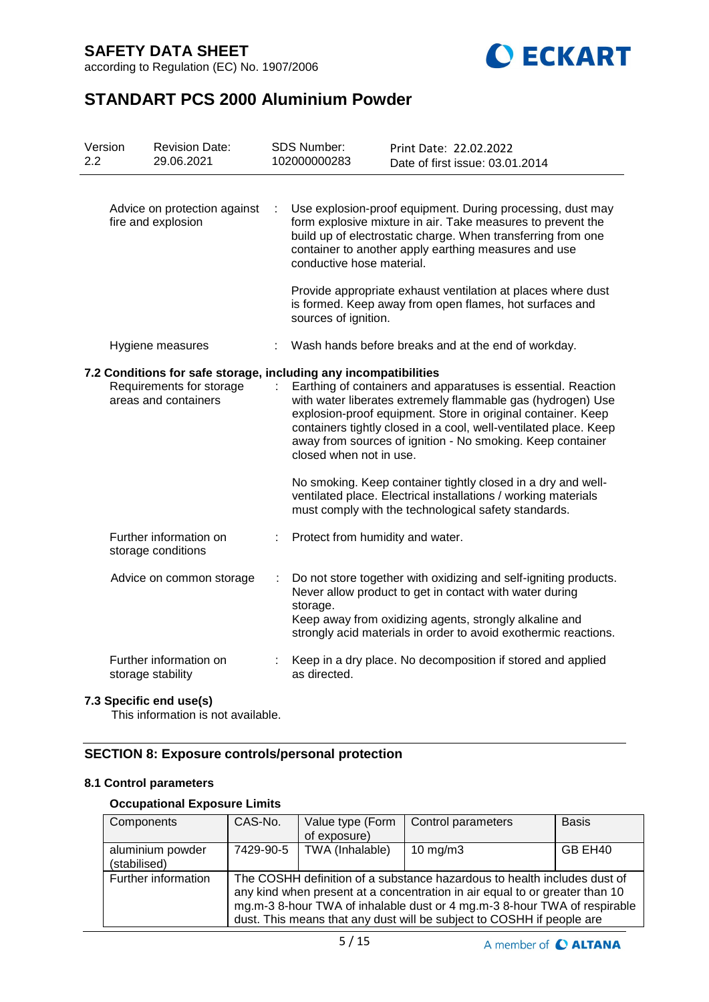according to Regulation (EC) No. 1907/2006



# **STANDART PCS 2000 Aluminium Powder**

| Version<br>2.2                                                                                                       |  | <b>Revision Date:</b><br>29.06.2021          | <b>SDS Number:</b><br>102000000283                                                                                                                                                                                                                                                                                             | Print Date: 22.02.2022<br>Date of first issue: 03.01.2014                                                                                                                                                                                                |
|----------------------------------------------------------------------------------------------------------------------|--|----------------------------------------------|--------------------------------------------------------------------------------------------------------------------------------------------------------------------------------------------------------------------------------------------------------------------------------------------------------------------------------|----------------------------------------------------------------------------------------------------------------------------------------------------------------------------------------------------------------------------------------------------------|
| Advice on protection against<br>fire and explosion                                                                   |  |                                              | conductive hose material.                                                                                                                                                                                                                                                                                                      | Use explosion-proof equipment. During processing, dust may<br>form explosive mixture in air. Take measures to prevent the<br>build up of electrostatic charge. When transferring from one<br>container to another apply earthing measures and use        |
|                                                                                                                      |  |                                              | sources of ignition.                                                                                                                                                                                                                                                                                                           | Provide appropriate exhaust ventilation at places where dust<br>is formed. Keep away from open flames, hot surfaces and                                                                                                                                  |
|                                                                                                                      |  | Hygiene measures                             |                                                                                                                                                                                                                                                                                                                                | Wash hands before breaks and at the end of workday.                                                                                                                                                                                                      |
| 7.2 Conditions for safe storage, including any incompatibilities<br>Requirements for storage<br>areas and containers |  | closed when not in use.                      | Earthing of containers and apparatuses is essential. Reaction<br>with water liberates extremely flammable gas (hydrogen) Use<br>explosion-proof equipment. Store in original container. Keep<br>containers tightly closed in a cool, well-ventilated place. Keep<br>away from sources of ignition - No smoking. Keep container |                                                                                                                                                                                                                                                          |
|                                                                                                                      |  |                                              |                                                                                                                                                                                                                                                                                                                                | No smoking. Keep container tightly closed in a dry and well-<br>ventilated place. Electrical installations / working materials<br>must comply with the technological safety standards.                                                                   |
|                                                                                                                      |  | Further information on<br>storage conditions | Protect from humidity and water.                                                                                                                                                                                                                                                                                               |                                                                                                                                                                                                                                                          |
|                                                                                                                      |  | Advice on common storage                     | storage.                                                                                                                                                                                                                                                                                                                       | Do not store together with oxidizing and self-igniting products.<br>Never allow product to get in contact with water during<br>Keep away from oxidizing agents, strongly alkaline and<br>strongly acid materials in order to avoid exothermic reactions. |
|                                                                                                                      |  | Further information on<br>storage stability  | as directed.                                                                                                                                                                                                                                                                                                                   | Keep in a dry place. No decomposition if stored and applied                                                                                                                                                                                              |

### **7.3 Specific end use(s)**

This information is not available.

## **SECTION 8: Exposure controls/personal protection**

### **8.1 Control parameters**

## **Occupational Exposure Limits**

| Components                       | CAS-No.   | Value type (Form<br>of exposure)                                                                                                                                                                                                                                                                             | Control parameters  | <b>Basis</b> |  |  |  |
|----------------------------------|-----------|--------------------------------------------------------------------------------------------------------------------------------------------------------------------------------------------------------------------------------------------------------------------------------------------------------------|---------------------|--------------|--|--|--|
| aluminium powder<br>(stabilised) | 7429-90-5 | TWA (Inhalable)                                                                                                                                                                                                                                                                                              | $10 \text{ mg/m}$ 3 | GB EH40      |  |  |  |
| Further information              |           | The COSHH definition of a substance hazardous to health includes dust of<br>any kind when present at a concentration in air equal to or greater than 10<br>mg.m-3 8-hour TWA of inhalable dust or 4 mg.m-3 8-hour TWA of respirable<br>dust. This means that any dust will be subject to COSHH if people are |                     |              |  |  |  |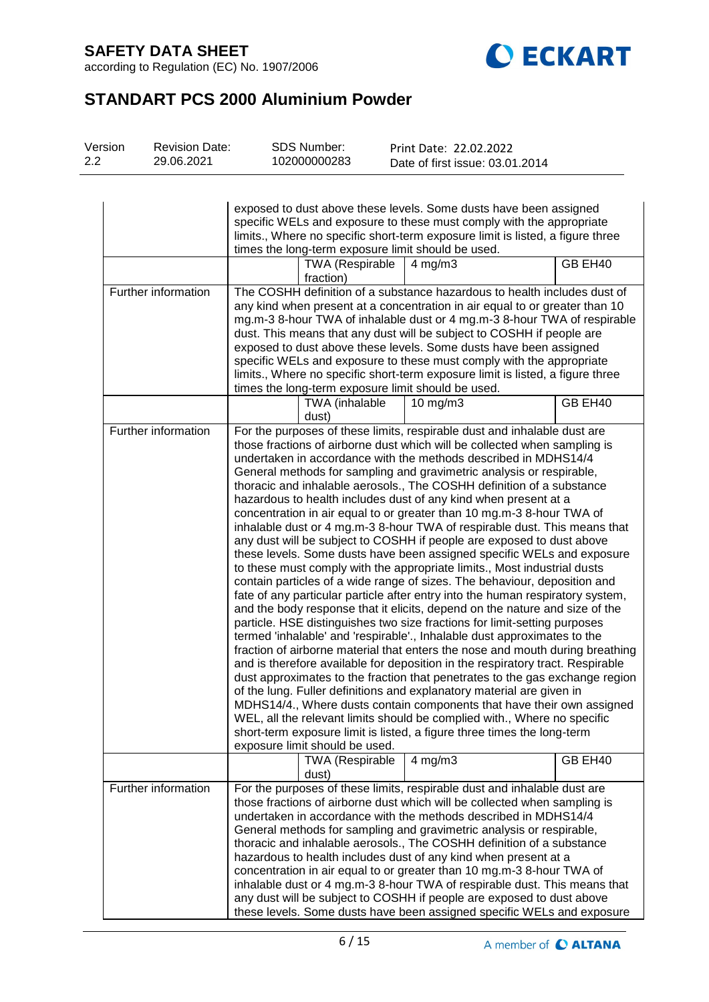according to Regulation (EC) No. 1907/2006



# **STANDART PCS 2000 Aluminium Powder**

| Version | <b>Revision Date:</b> | SDS Number:  | Print Date: 22.02.2022          |
|---------|-----------------------|--------------|---------------------------------|
| 2.2     | 29.06.2021            | 102000000283 | Date of first issue: 03.01.2014 |

|                     | exposed to dust above these levels. Some dusts have been assigned<br>specific WELs and exposure to these must comply with the appropriate<br>limits., Where no specific short-term exposure limit is listed, a figure three<br>times the long-term exposure limit should be used.                                                                                                                                                                                                                                                                                                                 |                                                          |                                                                                                                                                                                                                                                                                                                                                                                                                                                                                                                                                                                                                                                                                                                                                                                                                                                                                                                                                                                                                                                                                                                                                                                                                                                                                                                                                                                                                                                                                                                                                                                                                                                                                                                                                                                                                       |         |  |  |
|---------------------|---------------------------------------------------------------------------------------------------------------------------------------------------------------------------------------------------------------------------------------------------------------------------------------------------------------------------------------------------------------------------------------------------------------------------------------------------------------------------------------------------------------------------------------------------------------------------------------------------|----------------------------------------------------------|-----------------------------------------------------------------------------------------------------------------------------------------------------------------------------------------------------------------------------------------------------------------------------------------------------------------------------------------------------------------------------------------------------------------------------------------------------------------------------------------------------------------------------------------------------------------------------------------------------------------------------------------------------------------------------------------------------------------------------------------------------------------------------------------------------------------------------------------------------------------------------------------------------------------------------------------------------------------------------------------------------------------------------------------------------------------------------------------------------------------------------------------------------------------------------------------------------------------------------------------------------------------------------------------------------------------------------------------------------------------------------------------------------------------------------------------------------------------------------------------------------------------------------------------------------------------------------------------------------------------------------------------------------------------------------------------------------------------------------------------------------------------------------------------------------------------------|---------|--|--|
|                     |                                                                                                                                                                                                                                                                                                                                                                                                                                                                                                                                                                                                   | <b>TWA (Respirable</b><br>fraction)                      | $4$ mg/m $3$                                                                                                                                                                                                                                                                                                                                                                                                                                                                                                                                                                                                                                                                                                                                                                                                                                                                                                                                                                                                                                                                                                                                                                                                                                                                                                                                                                                                                                                                                                                                                                                                                                                                                                                                                                                                          | GB EH40 |  |  |
| Further information | The COSHH definition of a substance hazardous to health includes dust of<br>any kind when present at a concentration in air equal to or greater than 10<br>mg.m-3 8-hour TWA of inhalable dust or 4 mg.m-3 8-hour TWA of respirable<br>dust. This means that any dust will be subject to COSHH if people are<br>exposed to dust above these levels. Some dusts have been assigned<br>specific WELs and exposure to these must comply with the appropriate<br>limits., Where no specific short-term exposure limit is listed, a figure three<br>times the long-term exposure limit should be used. |                                                          |                                                                                                                                                                                                                                                                                                                                                                                                                                                                                                                                                                                                                                                                                                                                                                                                                                                                                                                                                                                                                                                                                                                                                                                                                                                                                                                                                                                                                                                                                                                                                                                                                                                                                                                                                                                                                       |         |  |  |
|                     |                                                                                                                                                                                                                                                                                                                                                                                                                                                                                                                                                                                                   | TWA (inhalable<br>dust)                                  | $10$ mg/m $3$                                                                                                                                                                                                                                                                                                                                                                                                                                                                                                                                                                                                                                                                                                                                                                                                                                                                                                                                                                                                                                                                                                                                                                                                                                                                                                                                                                                                                                                                                                                                                                                                                                                                                                                                                                                                         | GB EH40 |  |  |
| Further information |                                                                                                                                                                                                                                                                                                                                                                                                                                                                                                                                                                                                   | exposure limit should be used.<br><b>TWA (Respirable</b> | For the purposes of these limits, respirable dust and inhalable dust are<br>those fractions of airborne dust which will be collected when sampling is<br>undertaken in accordance with the methods described in MDHS14/4<br>General methods for sampling and gravimetric analysis or respirable,<br>thoracic and inhalable aerosols., The COSHH definition of a substance<br>hazardous to health includes dust of any kind when present at a<br>concentration in air equal to or greater than 10 mg.m-3 8-hour TWA of<br>inhalable dust or 4 mg.m-3 8-hour TWA of respirable dust. This means that<br>any dust will be subject to COSHH if people are exposed to dust above<br>these levels. Some dusts have been assigned specific WELs and exposure<br>to these must comply with the appropriate limits., Most industrial dusts<br>contain particles of a wide range of sizes. The behaviour, deposition and<br>fate of any particular particle after entry into the human respiratory system,<br>and the body response that it elicits, depend on the nature and size of the<br>particle. HSE distinguishes two size fractions for limit-setting purposes<br>termed 'inhalable' and 'respirable'., Inhalable dust approximates to the<br>fraction of airborne material that enters the nose and mouth during breathing<br>and is therefore available for deposition in the respiratory tract. Respirable<br>dust approximates to the fraction that penetrates to the gas exchange region<br>of the lung. Fuller definitions and explanatory material are given in<br>MDHS14/4., Where dusts contain components that have their own assigned<br>WEL, all the relevant limits should be complied with., Where no specific<br>short-term exposure limit is listed, a figure three times the long-term<br>$4$ mg/m $3$ | GB EH40 |  |  |
|                     |                                                                                                                                                                                                                                                                                                                                                                                                                                                                                                                                                                                                   | dust)                                                    |                                                                                                                                                                                                                                                                                                                                                                                                                                                                                                                                                                                                                                                                                                                                                                                                                                                                                                                                                                                                                                                                                                                                                                                                                                                                                                                                                                                                                                                                                                                                                                                                                                                                                                                                                                                                                       |         |  |  |
| Further information |                                                                                                                                                                                                                                                                                                                                                                                                                                                                                                                                                                                                   |                                                          | For the purposes of these limits, respirable dust and inhalable dust are<br>those fractions of airborne dust which will be collected when sampling is<br>undertaken in accordance with the methods described in MDHS14/4<br>General methods for sampling and gravimetric analysis or respirable,<br>thoracic and inhalable aerosols., The COSHH definition of a substance<br>hazardous to health includes dust of any kind when present at a<br>concentration in air equal to or greater than 10 mg.m-3 8-hour TWA of<br>inhalable dust or 4 mg.m-3 8-hour TWA of respirable dust. This means that<br>any dust will be subject to COSHH if people are exposed to dust above<br>these levels. Some dusts have been assigned specific WELs and exposure                                                                                                                                                                                                                                                                                                                                                                                                                                                                                                                                                                                                                                                                                                                                                                                                                                                                                                                                                                                                                                                                 |         |  |  |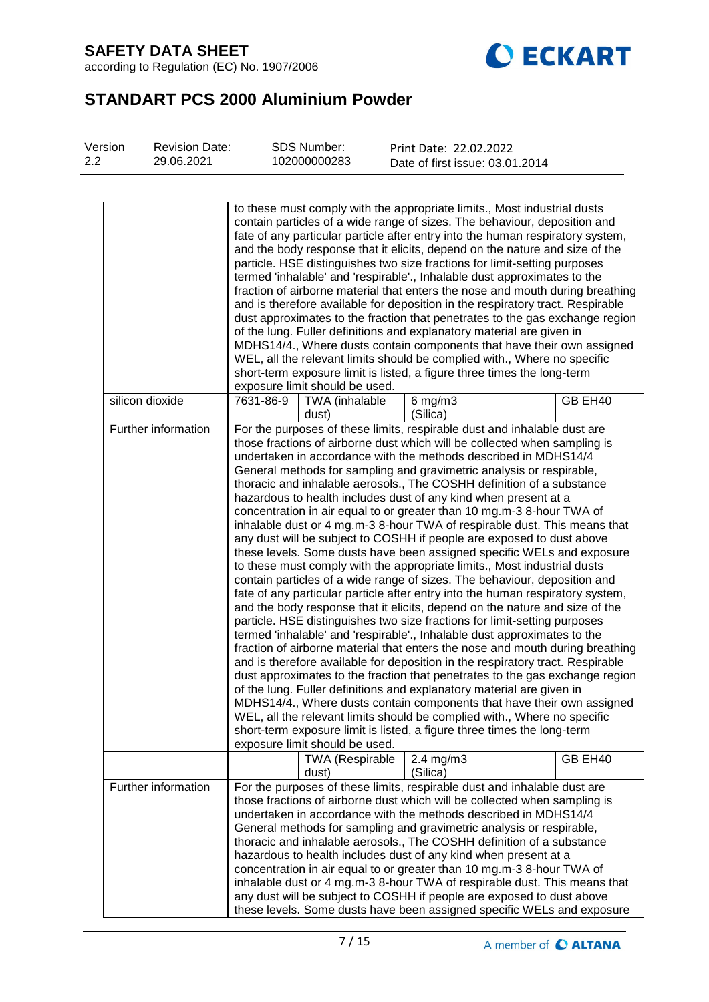

# **STANDART PCS 2000 Aluminium Powder**

| Version<br>2.2 | <b>Revision Date:</b><br>29.06.2021 | <b>SDS Number:</b><br>102000000283   | Print Date: 22.02.2022<br>Date of first issue: 03.01.2014                                                                                                                                                                                                                                                                                                                                                                                                                                                                                                                                                                                                                                                                                                                                                                                                                                                                                                                                                                                                                                                                                                                                                                                                                                                                                                                                                                                                                                                                                                                                                                                                                                                                                                                                             |  |
|----------------|-------------------------------------|--------------------------------------|-------------------------------------------------------------------------------------------------------------------------------------------------------------------------------------------------------------------------------------------------------------------------------------------------------------------------------------------------------------------------------------------------------------------------------------------------------------------------------------------------------------------------------------------------------------------------------------------------------------------------------------------------------------------------------------------------------------------------------------------------------------------------------------------------------------------------------------------------------------------------------------------------------------------------------------------------------------------------------------------------------------------------------------------------------------------------------------------------------------------------------------------------------------------------------------------------------------------------------------------------------------------------------------------------------------------------------------------------------------------------------------------------------------------------------------------------------------------------------------------------------------------------------------------------------------------------------------------------------------------------------------------------------------------------------------------------------------------------------------------------------------------------------------------------------|--|
|                |                                     | exposure limit should be used.       | to these must comply with the appropriate limits., Most industrial dusts<br>contain particles of a wide range of sizes. The behaviour, deposition and<br>fate of any particular particle after entry into the human respiratory system,<br>and the body response that it elicits, depend on the nature and size of the<br>particle. HSE distinguishes two size fractions for limit-setting purposes<br>termed 'inhalable' and 'respirable'., Inhalable dust approximates to the<br>fraction of airborne material that enters the nose and mouth during breathing<br>and is therefore available for deposition in the respiratory tract. Respirable<br>dust approximates to the fraction that penetrates to the gas exchange region<br>of the lung. Fuller definitions and explanatory material are given in<br>MDHS14/4., Where dusts contain components that have their own assigned<br>WEL, all the relevant limits should be complied with., Where no specific<br>short-term exposure limit is listed, a figure three times the long-term                                                                                                                                                                                                                                                                                                                                                                                                                                                                                                                                                                                                                                                                                                                                                          |  |
|                | silicon dioxide                     | 7631-86-9<br>TWA (inhalable<br>dust) | GB EH40<br>$6$ mg/m $3$<br>(Silica)                                                                                                                                                                                                                                                                                                                                                                                                                                                                                                                                                                                                                                                                                                                                                                                                                                                                                                                                                                                                                                                                                                                                                                                                                                                                                                                                                                                                                                                                                                                                                                                                                                                                                                                                                                   |  |
|                | Further information                 | exposure limit should be used.       | For the purposes of these limits, respirable dust and inhalable dust are<br>those fractions of airborne dust which will be collected when sampling is<br>undertaken in accordance with the methods described in MDHS14/4<br>General methods for sampling and gravimetric analysis or respirable,<br>thoracic and inhalable aerosols., The COSHH definition of a substance<br>hazardous to health includes dust of any kind when present at a<br>concentration in air equal to or greater than 10 mg.m-3 8-hour TWA of<br>inhalable dust or 4 mg.m-3 8-hour TWA of respirable dust. This means that<br>any dust will be subject to COSHH if people are exposed to dust above<br>these levels. Some dusts have been assigned specific WELs and exposure<br>to these must comply with the appropriate limits., Most industrial dusts<br>contain particles of a wide range of sizes. The behaviour, deposition and<br>fate of any particular particle after entry into the human respiratory system,<br>and the body response that it elicits, depend on the nature and size of the<br>particle. HSE distinguishes two size fractions for limit-setting purposes<br>termed 'inhalable' and 'respirable'., Inhalable dust approximates to the<br>fraction of airborne material that enters the nose and mouth during breathing<br>and is therefore available for deposition in the respiratory tract. Respirable<br>dust approximates to the fraction that penetrates to the gas exchange region<br>of the lung. Fuller definitions and explanatory material are given in<br>MDHS14/4., Where dusts contain components that have their own assigned<br>WEL, all the relevant limits should be complied with., Where no specific<br>short-term exposure limit is listed, a figure three times the long-term |  |
|                |                                     | <b>TWA (Respirable</b><br>dust)      | GB EH40<br>$2.4 \text{ mg/m}$ 3<br>(Silica)                                                                                                                                                                                                                                                                                                                                                                                                                                                                                                                                                                                                                                                                                                                                                                                                                                                                                                                                                                                                                                                                                                                                                                                                                                                                                                                                                                                                                                                                                                                                                                                                                                                                                                                                                           |  |
|                | Further information                 |                                      | For the purposes of these limits, respirable dust and inhalable dust are<br>those fractions of airborne dust which will be collected when sampling is<br>undertaken in accordance with the methods described in MDHS14/4<br>General methods for sampling and gravimetric analysis or respirable,<br>thoracic and inhalable aerosols., The COSHH definition of a substance<br>hazardous to health includes dust of any kind when present at a<br>concentration in air equal to or greater than 10 mg.m-3 8-hour TWA of<br>inhalable dust or 4 mg.m-3 8-hour TWA of respirable dust. This means that<br>any dust will be subject to COSHH if people are exposed to dust above<br>these levels. Some dusts have been assigned specific WELs and exposure                                                                                                                                                                                                                                                                                                                                                                                                                                                                                                                                                                                                                                                                                                                                                                                                                                                                                                                                                                                                                                                 |  |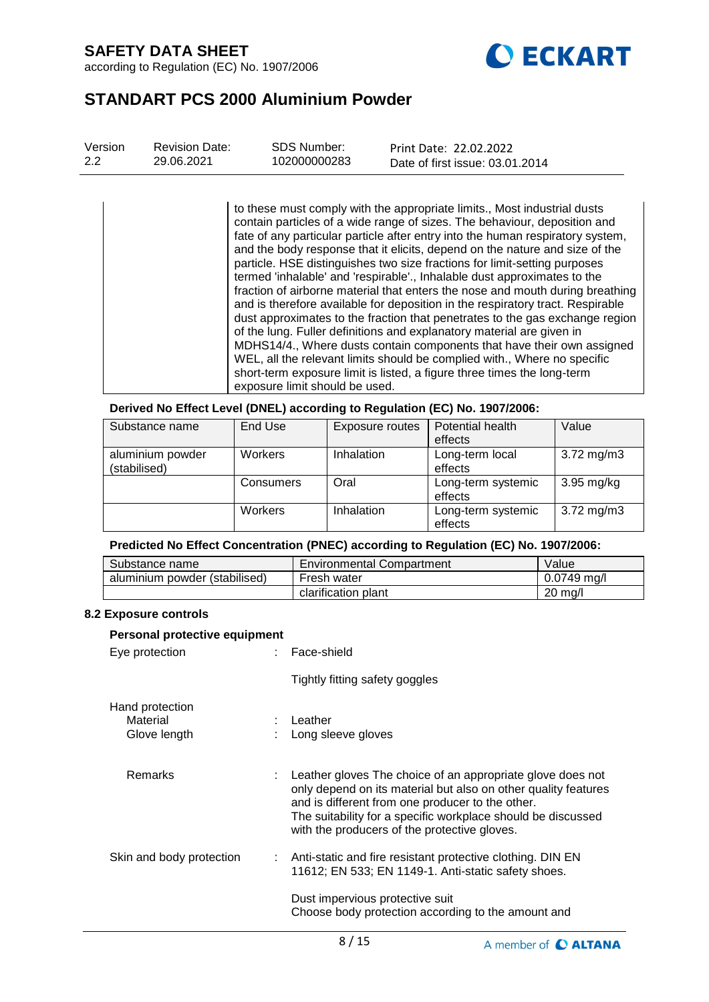

## **STANDART PCS 2000 Aluminium Powder**

| Version | <b>Revision Date:</b> | SDS Number:  | Print Date: 22.02.2022          |
|---------|-----------------------|--------------|---------------------------------|
| 2.2     | 29.06.2021            | 102000000283 | Date of first issue: 03.01.2014 |
|         |                       |              |                                 |

to these must comply with the appropriate limits., Most industrial dusts contain particles of a wide range of sizes. The behaviour, deposition and fate of any particular particle after entry into the human respiratory system, and the body response that it elicits, depend on the nature and size of the particle. HSE distinguishes two size fractions for limit-setting purposes termed 'inhalable' and 'respirable'., Inhalable dust approximates to the fraction of airborne material that enters the nose and mouth during breathing and is therefore available for deposition in the respiratory tract. Respirable dust approximates to the fraction that penetrates to the gas exchange region of the lung. Fuller definitions and explanatory material are given in MDHS14/4., Where dusts contain components that have their own assigned WEL, all the relevant limits should be complied with., Where no specific short-term exposure limit is listed, a figure three times the long-term exposure limit should be used.

**Derived No Effect Level (DNEL) according to Regulation (EC) No. 1907/2006:**

| Substance name                   | End Use   | Exposure routes | Potential health<br>effects   | Value                   |
|----------------------------------|-----------|-----------------|-------------------------------|-------------------------|
| aluminium powder<br>(stabilised) | Workers   | Inhalation      | Long-term local<br>effects    | $3.72 \,\mathrm{mg/m3}$ |
|                                  | Consumers | Oral            | Long-term systemic<br>effects | $3.95$ mg/kg            |
|                                  | Workers   | Inhalation      | Long-term systemic<br>effects | $3.72 \,\mathrm{mg/m3}$ |

## **Predicted No Effect Concentration (PNEC) according to Regulation (EC) No. 1907/2006:**

| Substance name                | <b>Environmental Compartment</b> | Value             |
|-------------------------------|----------------------------------|-------------------|
| aluminium powder (stabilised) | Fresh water                      | $0.0749$ ma/l     |
|                               | clarification plant              | $20 \text{ ma/l}$ |

### **8.2 Exposure controls**

| Personal protective equipment               |  |                                                                                                                                                                                                                                                                                                    |  |  |  |
|---------------------------------------------|--|----------------------------------------------------------------------------------------------------------------------------------------------------------------------------------------------------------------------------------------------------------------------------------------------------|--|--|--|
| Eye protection                              |  | : Face-shield                                                                                                                                                                                                                                                                                      |  |  |  |
|                                             |  | Tightly fitting safety goggles                                                                                                                                                                                                                                                                     |  |  |  |
| Hand protection<br>Material<br>Glove length |  | $:$ Leather<br>: Long sleeve gloves                                                                                                                                                                                                                                                                |  |  |  |
| <b>Remarks</b>                              |  | : Leather gloves The choice of an appropriate glove does not<br>only depend on its material but also on other quality features<br>and is different from one producer to the other.<br>The suitability for a specific workplace should be discussed<br>with the producers of the protective gloves. |  |  |  |
| Skin and body protection                    |  | : Anti-static and fire resistant protective clothing. DIN EN<br>11612; EN 533; EN 1149-1. Anti-static safety shoes.                                                                                                                                                                                |  |  |  |
|                                             |  | Dust impervious protective suit<br>Choose body protection according to the amount and                                                                                                                                                                                                              |  |  |  |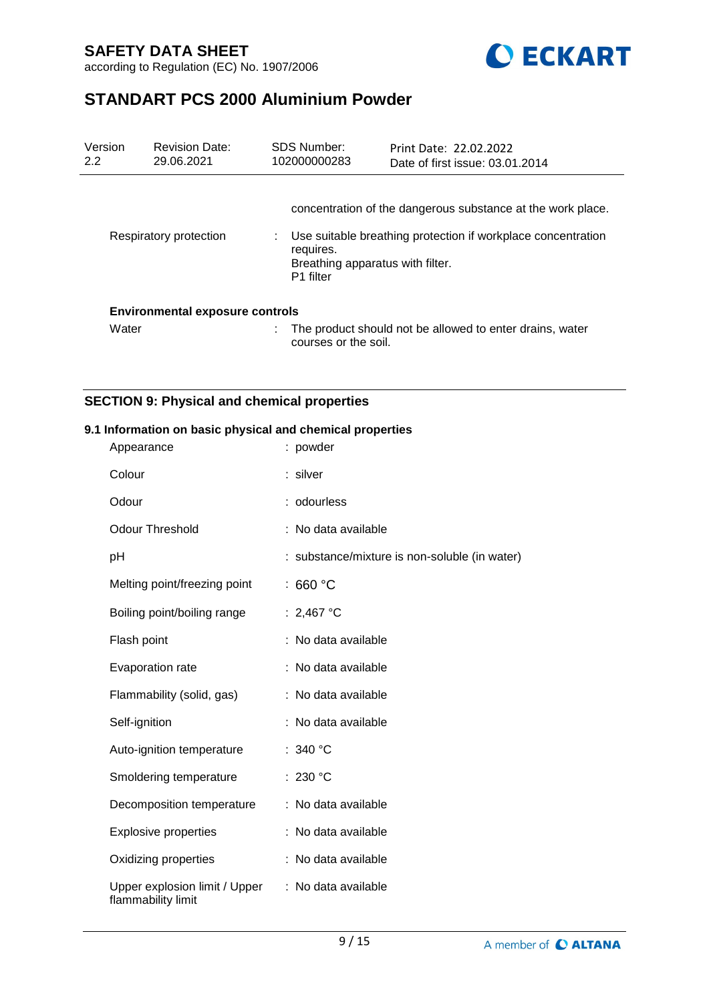

# **STANDART PCS 2000 Aluminium Powder**

| Version<br>2.2 | <b>Revision Date:</b><br>29.06.2021    | <b>SDS Number:</b><br>102000000283                                     | Print Date: 22.02.2022<br>Date of first issue: 03.01.2014                                                                   |
|----------------|----------------------------------------|------------------------------------------------------------------------|-----------------------------------------------------------------------------------------------------------------------------|
|                | Respiratory protection                 | requires.<br>Breathing apparatus with filter.<br>P <sub>1</sub> filter | concentration of the dangerous substance at the work place.<br>Use suitable breathing protection if workplace concentration |
|                | <b>Environmental exposure controls</b> |                                                                        |                                                                                                                             |
| Water          |                                        | courses or the soil.                                                   | The product should not be allowed to enter drains, water                                                                    |

## **SECTION 9: Physical and chemical properties**

### **9.1 Information on basic physical and chemical properties**

| Appearance                                          | : powder                                      |
|-----------------------------------------------------|-----------------------------------------------|
| Colour                                              | : silver                                      |
| Odour                                               | : odourless                                   |
| <b>Odour Threshold</b>                              | : No data available                           |
| pH                                                  | : substance/mixture is non-soluble (in water) |
| Melting point/freezing point                        | : 660 $^{\circ}$ C                            |
| Boiling point/boiling range                         | : 2,467 °C                                    |
| Flash point                                         | : No data available                           |
| Evaporation rate                                    | : No data available                           |
| Flammability (solid, gas)                           | : No data available                           |
| Self-ignition                                       | : No data available                           |
| Auto-ignition temperature                           | : 340 $^{\circ}$ C                            |
| Smoldering temperature                              | : 230 °C                                      |
| Decomposition temperature                           | : No data available                           |
| <b>Explosive properties</b>                         | : No data available                           |
| Oxidizing properties                                | : No data available                           |
| Upper explosion limit / Upper<br>flammability limit | : No data available                           |
|                                                     |                                               |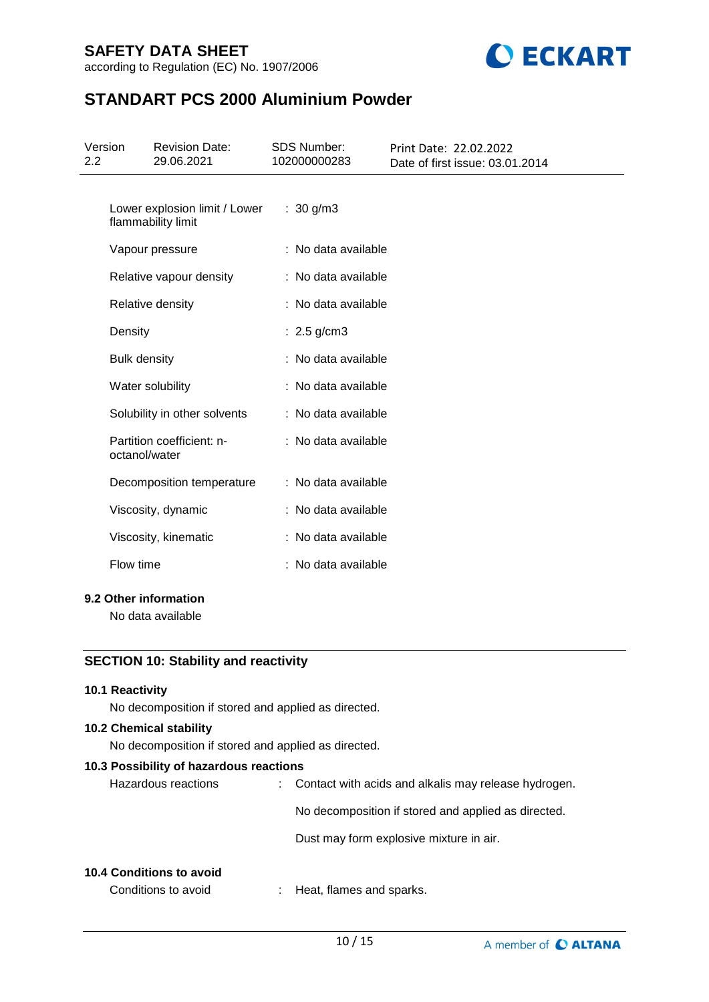

# **STANDART PCS 2000 Aluminium Powder**

| 2.2                                        | Version             | <b>Revision Date:</b><br>29.06.2021                 | <b>SDS Number:</b><br>102000000283 | Print Date: 22.02.2022<br>Date of first issue: 03.01.2014 |
|--------------------------------------------|---------------------|-----------------------------------------------------|------------------------------------|-----------------------------------------------------------|
|                                            |                     | Lower explosion limit / Lower<br>flammability limit | : $30 g/m3$                        |                                                           |
|                                            |                     | Vapour pressure                                     | : No data available                |                                                           |
|                                            |                     | Relative vapour density                             | : No data available                |                                                           |
|                                            |                     | Relative density                                    | : No data available                |                                                           |
|                                            | Density             |                                                     | : $2.5$ g/cm3                      |                                                           |
|                                            | <b>Bulk density</b> |                                                     | : No data available                |                                                           |
|                                            |                     | Water solubility                                    | : No data available                |                                                           |
|                                            |                     | Solubility in other solvents                        | : No data available                |                                                           |
|                                            | octanol/water       | Partition coefficient: n-                           | : No data available                |                                                           |
|                                            |                     | Decomposition temperature                           | : No data available                |                                                           |
|                                            |                     | Viscosity, dynamic                                  | : No data available                |                                                           |
|                                            |                     | Viscosity, kinematic                                | : No data available                |                                                           |
|                                            | Flow time           |                                                     | : No data available                |                                                           |
| 9.2 Other information<br>No data available |                     |                                                     |                                    |                                                           |

## **SECTION 10: Stability and reactivity**

### **10.1 Reactivity**

No decomposition if stored and applied as directed.

## **10.2 Chemical stability**

No decomposition if stored and applied as directed.

### **10.3 Possibility of hazardous reactions**

| : Contact with acids and alkalis may release hydrogen. |
|--------------------------------------------------------|
| No decomposition if stored and applied as directed.    |
| Dust may form explosive mixture in air.                |
|                                                        |

### **10.4 Conditions to avoid**

Conditions to avoid : Heat, flames and sparks.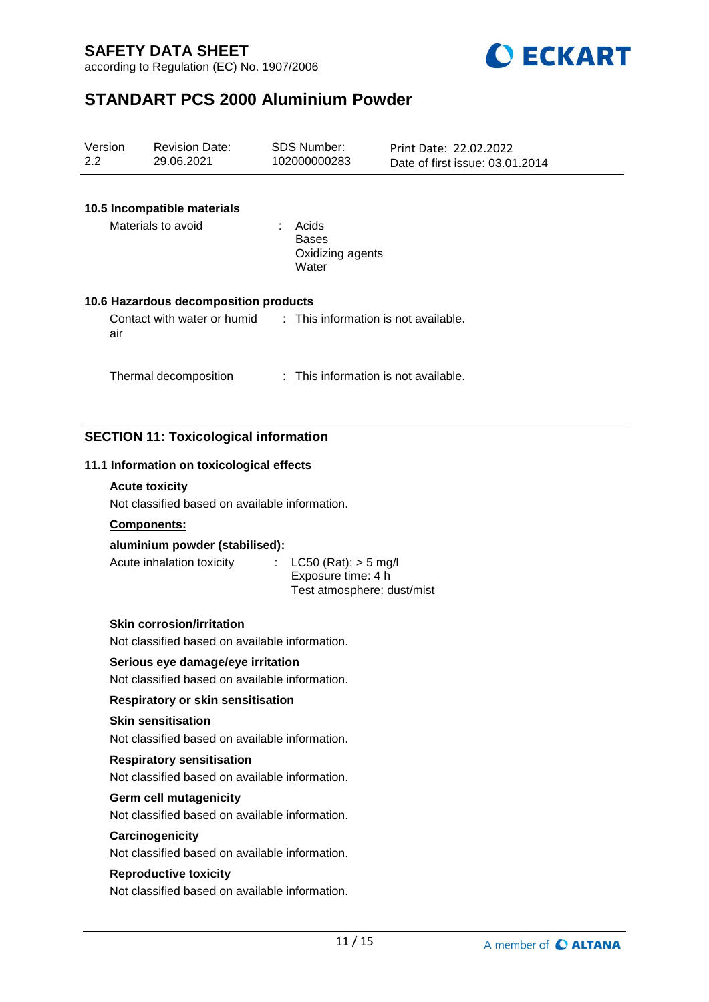



# **STANDART PCS 2000 Aluminium Powder**

| Version<br>2.2 |     | <b>Revision Date:</b><br>29.06.2021                                                 | <b>SDS Number:</b><br>102000000283                                           | Print Date: 22.02.2022<br>Date of first issue: 03.01.2014 |
|----------------|-----|-------------------------------------------------------------------------------------|------------------------------------------------------------------------------|-----------------------------------------------------------|
|                |     | 10.5 Incompatible materials<br>Materials to avoid                                   | : Acids<br><b>Bases</b><br>Oxidizing agents                                  |                                                           |
|                |     | 10.6 Hazardous decomposition products                                               | Water                                                                        |                                                           |
|                | air | Contact with water or humid                                                         | : This information is not available.                                         |                                                           |
|                |     | Thermal decomposition                                                               | : This information is not available.                                         |                                                           |
|                |     | <b>SECTION 11: Toxicological information</b>                                        |                                                                              |                                                           |
|                |     | 11.1 Information on toxicological effects                                           |                                                                              |                                                           |
|                |     | <b>Acute toxicity</b>                                                               |                                                                              |                                                           |
|                |     | Not classified based on available information.                                      |                                                                              |                                                           |
|                |     | Components:                                                                         |                                                                              |                                                           |
|                |     | aluminium powder (stabilised):<br>Acute inhalation toxicity                         | $LC50$ (Rat): $> 5$ mg/l<br>Exposure time: 4 h<br>Test atmosphere: dust/mist |                                                           |
|                |     | <b>Skin corrosion/irritation</b><br>Not classified based on available information.  |                                                                              |                                                           |
|                |     | Serious eye damage/eye irritation<br>Not classified based on available information. |                                                                              |                                                           |
|                |     | Respiratory or skin sensitisation                                                   |                                                                              |                                                           |
|                |     | <b>Skin sensitisation</b><br>Not classified based on available information.         |                                                                              |                                                           |
|                |     | <b>Respiratory sensitisation</b><br>Not classified based on available information.  |                                                                              |                                                           |
|                |     | Germ cell mutagenicity<br>Not classified based on available information.            |                                                                              |                                                           |
|                |     | Carcinogenicity<br>Not classified based on available information.                   |                                                                              |                                                           |
|                |     | <b>Reproductive toxicity</b><br>Not classified based on available information.      |                                                                              |                                                           |
|                |     |                                                                                     |                                                                              |                                                           |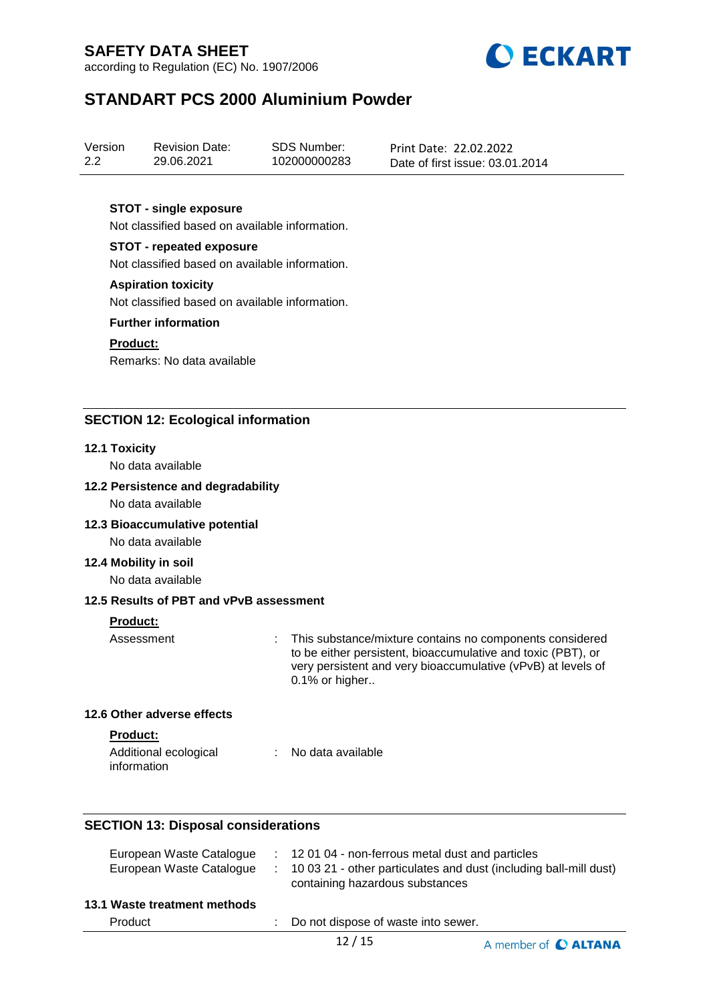according to Regulation (EC) No. 1907/2006



## **STANDART PCS 2000 Aluminium Powder**

| Version | <b>Revision Date:</b> | SDS Number:  | Print Date: 22.02.2022          |
|---------|-----------------------|--------------|---------------------------------|
| 2.2     | 29.06.2021            | 102000000283 | Date of first issue: 03.01.2014 |

### **STOT - single exposure**

Not classified based on available information.

### **STOT - repeated exposure**

Not classified based on available information.

#### **Aspiration toxicity**

Not classified based on available information.

#### **Further information**

#### **Product:**

Remarks: No data available

### **SECTION 12: Ecological information**

#### **12.1 Toxicity**

No data available

#### **12.2 Persistence and degradability**

No data available

### **12.3 Bioaccumulative potential**

No data available

#### **12.4 Mobility in soil**

No data available

### **12.5 Results of PBT and vPvB assessment**

### **Product:**

Assessment : This substance/mixture contains no components considered to be either persistent, bioaccumulative and toxic (PBT), or very persistent and very bioaccumulative (vPvB) at levels of 0.1% or higher..

### **12.6 Other adverse effects**

**Product:**

| Additional ecological | No data available |
|-----------------------|-------------------|
| information           |                   |

### **SECTION 13: Disposal considerations**

| European Waste Catalogue     | : 12 01 04 - non-ferrous metal dust and particles                                                      |
|------------------------------|--------------------------------------------------------------------------------------------------------|
| European Waste Catalogue     | : 10 03 21 - other particulates and dust (including ball-mill dust)<br>containing hazardous substances |
| 13.1 Waste treatment methods |                                                                                                        |

Product : Do not dispose of waste into sewer.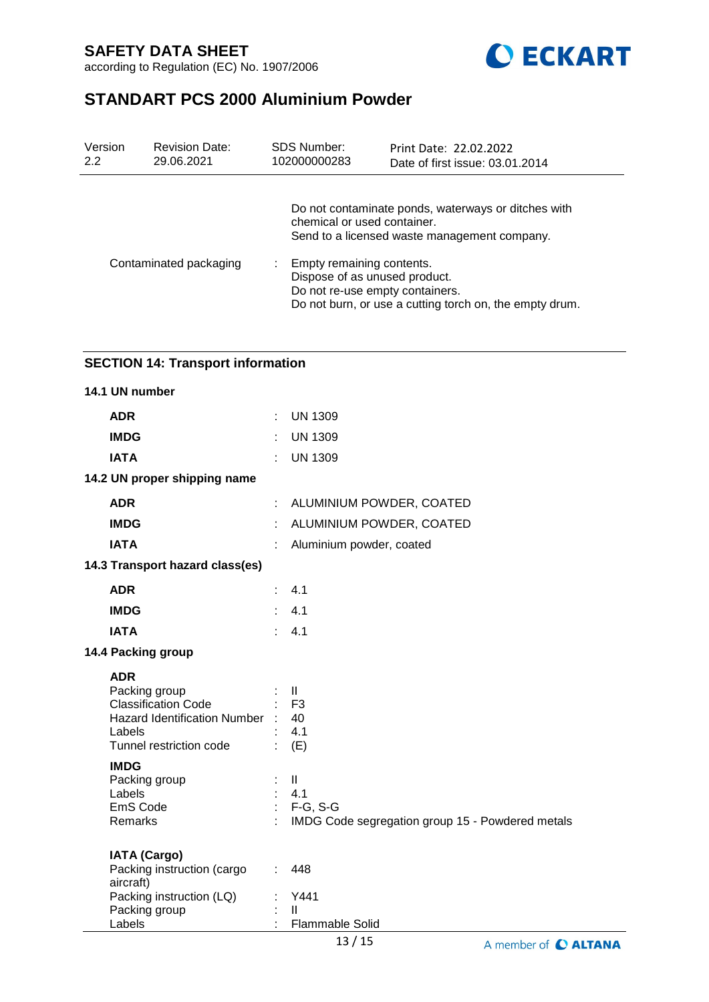

# **STANDART PCS 2000 Aluminium Powder**

| Version<br>2.2         | <b>Revision Date:</b><br>29.06.2021 | <b>SDS Number:</b><br>102000000283 | Print Date: 22.02.2022<br>Date of first issue: 03.01.2014                                                                                                |  |
|------------------------|-------------------------------------|------------------------------------|----------------------------------------------------------------------------------------------------------------------------------------------------------|--|
|                        |                                     | chemical or used container.        | Do not contaminate ponds, waterways or ditches with<br>Send to a licensed waste management company.                                                      |  |
| Contaminated packaging |                                     |                                    | Empty remaining contents.<br>Dispose of as unused product.<br>Do not re-use empty containers.<br>Do not burn, or use a cutting torch on, the empty drum. |  |

## **SECTION 14: Transport information**

| 14.1 UN number                                                                                                                      |                |                                                                                        |
|-------------------------------------------------------------------------------------------------------------------------------------|----------------|----------------------------------------------------------------------------------------|
| <b>ADR</b>                                                                                                                          | $\mathbb{R}^n$ | <b>UN 1309</b>                                                                         |
| <b>IMDG</b>                                                                                                                         | ÷              | <b>UN 1309</b>                                                                         |
| <b>IATA</b>                                                                                                                         |                | <b>UN 1309</b>                                                                         |
| 14.2 UN proper shipping name                                                                                                        |                |                                                                                        |
| <b>ADR</b>                                                                                                                          | ÷.             | ALUMINIUM POWDER, COATED                                                               |
| <b>IMDG</b>                                                                                                                         |                | ALUMINIUM POWDER, COATED                                                               |
| <b>IATA</b>                                                                                                                         |                | Aluminium powder, coated                                                               |
| 14.3 Transport hazard class(es)                                                                                                     |                |                                                                                        |
| <b>ADR</b>                                                                                                                          | ÷              | 4.1                                                                                    |
| <b>IMDG</b>                                                                                                                         |                | 4.1                                                                                    |
| <b>IATA</b>                                                                                                                         | $\epsilon$     | 4.1                                                                                    |
| 14.4 Packing group                                                                                                                  |                |                                                                                        |
| <b>ADR</b><br>Packing group<br><b>Classification Code</b><br>Hazard Identification Number : 40<br>Labels<br>Tunnel restriction code |                | $\mathbf{II}$<br>F <sub>3</sub><br>4.1<br>(E)                                          |
| <b>IMDG</b><br>Packing group<br>Labels<br>EmS Code<br>Remarks                                                                       |                | $\mathbf{II}$<br>4.1<br>$F-G, S-G$<br>IMDG Code segregation group 15 - Powdered metals |
| <b>IATA (Cargo)</b><br>Packing instruction (cargo<br>aircraft)<br>Packing instruction (LQ)<br>Packing group<br>Labels               | $\mathbb{R}^n$ | 448<br>Y441<br>$\mathbf{I}$<br><b>Flammable Solid</b>                                  |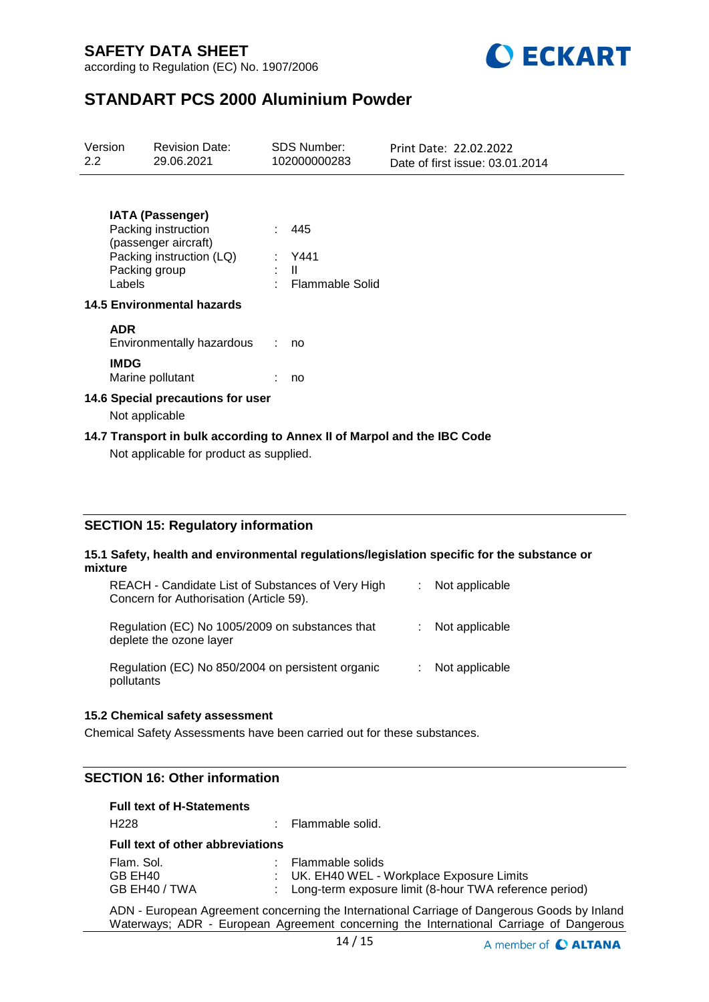

## **STANDART PCS 2000 Aluminium Powder**

| Version<br>$2.2^{\circ}$                                                                                           | <b>Revision Date:</b><br>29.06.2021 |      | <b>SDS Number:</b><br>102000000283 | Print Date: 22.02.2022<br>Date of first issue: 03.01.2014 |  |  |  |
|--------------------------------------------------------------------------------------------------------------------|-------------------------------------|------|------------------------------------|-----------------------------------------------------------|--|--|--|
| <b>IATA (Passenger)</b><br>Packing instruction<br>(passenger aircraft)<br>Packing group<br>Labels                  | Packing instruction (LQ)            | : II | 445<br>: Y441<br>Flammable Solid   |                                                           |  |  |  |
| <b>14.5 Environmental hazards</b>                                                                                  |                                     |      |                                    |                                                           |  |  |  |
| <b>ADR</b>                                                                                                         | Environmentally hazardous           |      | no                                 |                                                           |  |  |  |
| <b>IMDG</b><br>Marine pollutant                                                                                    |                                     |      | no                                 |                                                           |  |  |  |
| 14.6 Special precautions for user<br>Not applicable                                                                |                                     |      |                                    |                                                           |  |  |  |
| 14.7 Transport in bulk according to Annex II of Marpol and the IBC Code<br>Not applicable for product as supplied. |                                     |      |                                    |                                                           |  |  |  |

## **SECTION 15: Regulatory information**

#### **15.1 Safety, health and environmental regulations/legislation specific for the substance or mixture**

| REACH - Candidate List of Substances of Very High<br>Concern for Authorisation (Article 59). | t. | Not applicable |
|----------------------------------------------------------------------------------------------|----|----------------|
| Regulation (EC) No 1005/2009 on substances that<br>deplete the ozone layer                   |    | Not applicable |
| Regulation (EC) No 850/2004 on persistent organic<br>pollutants                              |    | Not applicable |

### **15.2 Chemical safety assessment**

Chemical Safety Assessments have been carried out for these substances.

## **SECTION 16: Other information**

### **Full text of H-Statements**

| H <sub>228</sub>                        | : Flammable solid.                                                                                                           |
|-----------------------------------------|------------------------------------------------------------------------------------------------------------------------------|
| <b>Full text of other abbreviations</b> |                                                                                                                              |
| Flam. Sol.<br>GB EH40<br>GB EH40 / TWA  | : Flammable solids<br>: UK. EH40 WEL - Workplace Exposure Limits<br>: Long-term exposure limit (8-hour TWA reference period) |

ADN - European Agreement concerning the International Carriage of Dangerous Goods by Inland Waterways; ADR - European Agreement concerning the International Carriage of Dangerous